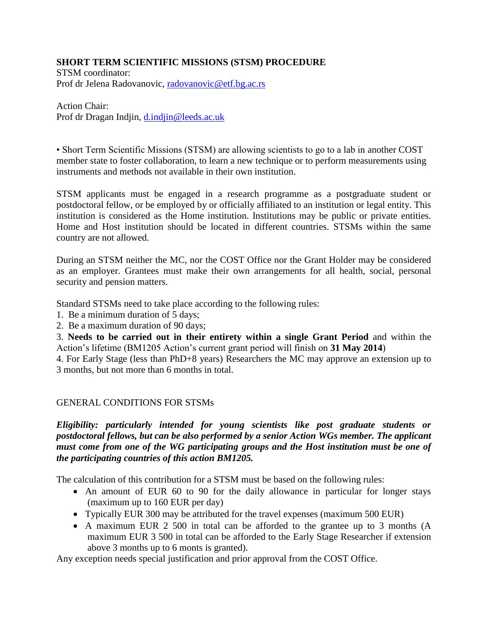## **SHORT TERM SCIENTIFIC MISSIONS (STSM) PROCEDURE**

STSM coordinator: Prof dr Jelena Radovanovic, [radovanovic@etf.bg.ac.rs](mailto:radovanovic@etf.bg.ac.rs)

#### Action Chair:

Prof dr Dragan Indjin, [d.indjin@leeds.ac.uk](mailto:d.indjin@leeds.ac.uk)

• Short Term Scientific Missions (STSM) are allowing scientists to go to a lab in another COST member state to foster collaboration, to learn a new technique or to perform measurements using instruments and methods not available in their own institution.

STSM applicants must be engaged in a research programme as a postgraduate student or postdoctoral fellow, or be employed by or officially affiliated to an institution or legal entity. This institution is considered as the Home institution. Institutions may be public or private entities. Home and Host institution should be located in different countries. STSMs within the same country are not allowed.

During an STSM neither the MC, nor the COST Office nor the Grant Holder may be considered as an employer. Grantees must make their own arrangements for all health, social, personal security and pension matters.

Standard STSMs need to take place according to the following rules:

- 1. Be a minimum duration of 5 days;
- 2. Be a maximum duration of 90 days;

3. **Needs to be carried out in their entirety within a single Grant Period** and within the Action's lifetime (BM1205 Action's current grant period will finish on **31 May 2014**)

4. For Early Stage (less than PhD+8 years) Researchers the MC may approve an extension up to 3 months, but not more than 6 months in total.

## GENERAL CONDITIONS FOR STSMs

*Eligibility: particularly intended for young scientists like post graduate students or postdoctoral fellows, but can be also performed by a senior Action WGs member. The applicant must come from one of the WG participating groups and the Host institution must be one of the participating countries of this action BM1205.*

The calculation of this contribution for a STSM must be based on the following rules:

- An amount of EUR 60 to 90 for the daily allowance in particular for longer stays (maximum up to 160 EUR per day)
- Typically EUR 300 may be attributed for the travel expenses (maximum 500 EUR)
- A maximum EUR 2 500 in total can be afforded to the grantee up to 3 months (A maximum EUR 3 500 in total can be afforded to the Early Stage Researcher if extension above 3 months up to 6 monts is granted).

Any exception needs special justification and prior approval from the COST Office.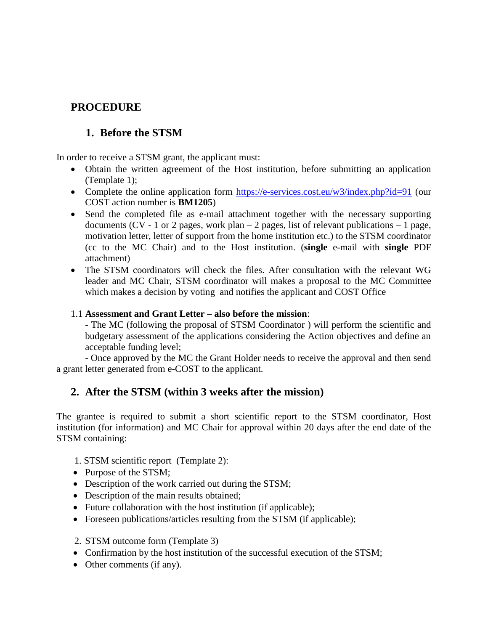# **PROCEDURE**

# **1. Before the STSM**

In order to receive a STSM grant, the applicant must:

- Obtain the written agreement of the Host institution, before submitting an application (Template 1);
- Complete the online application form<https://e-services.cost.eu/w3/index.php?id=91> (our COST action number is **BM1205**)
- Send the completed file as e-mail attachment together with the necessary supporting documents (CV - 1 or 2 pages, work plan  $-$  2 pages, list of relevant publications  $-$  1 page, motivation letter, letter of support from the home institution etc.) to the STSM coordinator (cc to the MC Chair) and to the Host institution. (**single** e-mail with **single** PDF attachment)
- The STSM coordinators will check the files. After consultation with the relevant WG leader and MC Chair, STSM coordinator will makes a proposal to the MC Committee which makes a decision by voting and notifies the applicant and COST Office

### 1.1 **Assessment and Grant Letter – also before the mission**:

- The MC (following the proposal of STSM Coordinator ) will perform the scientific and budgetary assessment of the applications considering the Action objectives and define an acceptable funding level;

- Once approved by the MC the Grant Holder needs to receive the approval and then send a grant letter generated from e-COST to the applicant.

## **2. After the STSM (within 3 weeks after the mission)**

The grantee is required to submit a short scientific report to the STSM coordinator, Host institution (for information) and MC Chair for approval within 20 days after the end date of the STSM containing:

- 1. STSM scientific report (Template 2):
- Purpose of the STSM;
- Description of the work carried out during the STSM;
- Description of the main results obtained;
- Future collaboration with the host institution (if applicable);
- Foreseen publications/articles resulting from the STSM (if applicable);
- 2. STSM outcome form (Template 3)
- Confirmation by the host institution of the successful execution of the STSM;
- Other comments (if any).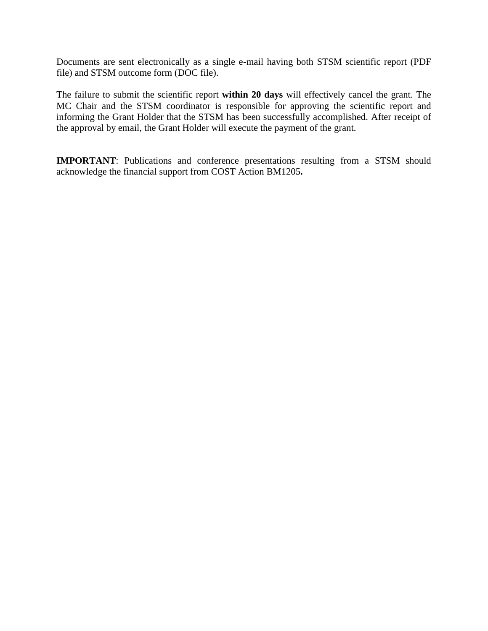Documents are sent electronically as a single e-mail having both STSM scientific report (PDF file) and STSM outcome form (DOC file).

The failure to submit the scientific report **within 20 days** will effectively cancel the grant. The MC Chair and the STSM coordinator is responsible for approving the scientific report and informing the Grant Holder that the STSM has been successfully accomplished. After receipt of the approval by email, the Grant Holder will execute the payment of the grant.

**IMPORTANT**: Publications and conference presentations resulting from a STSM should acknowledge the financial support from COST Action BM1205**.**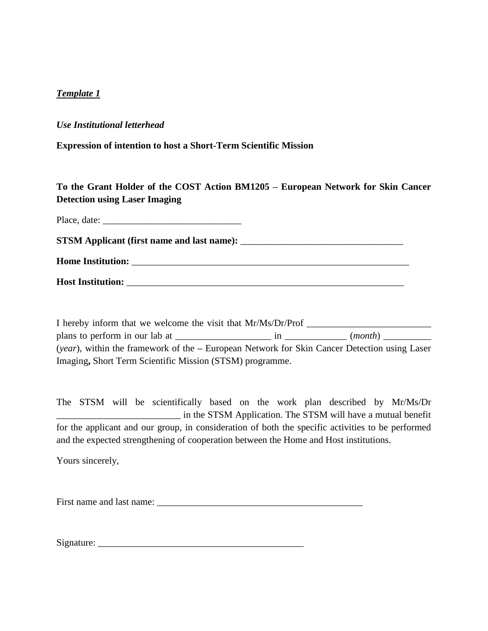### *Template 1*

#### *Use Institutional letterhead*

**Expression of intention to host a Short-Term Scientific Mission**

## **To the Grant Holder of the COST Action BM1205 – European Network for Skin Cancer Detection using Laser Imaging**

Place, date: \_\_\_\_\_\_\_\_\_\_\_\_\_\_\_\_\_\_\_\_\_\_\_\_\_\_\_\_\_

**STSM Applicant (first name and last name):** \_\_\_\_\_\_\_\_\_\_\_\_\_\_\_\_\_\_\_\_\_\_\_\_\_\_\_\_\_\_\_\_\_\_

**Home Institution:** \_\_\_\_\_\_\_\_\_\_\_\_\_\_\_\_\_\_\_\_\_\_\_\_\_\_\_\_\_\_\_\_\_\_\_\_\_\_\_\_\_\_\_\_\_\_\_\_\_\_\_\_\_\_\_\_\_\_

**Host Institution: with a set of the set of the set of the set of the set of the set of the set of the set of the set of the set of the set of the set of the set of the set of the set of the set of the set of the set of** 

I hereby inform that we welcome the visit that Mr/Ms/Dr/Prof \_\_\_\_\_\_\_\_\_\_\_\_\_\_\_\_\_\_\_\_ plans to perform in our lab at \_\_\_\_\_\_\_\_\_\_\_\_\_\_\_\_\_\_\_\_ in \_\_\_\_\_\_\_\_\_\_\_\_\_ (*month*) \_\_\_\_\_\_\_\_\_\_ (*year*), within the framework of the **–** European Network for Skin Cancer Detection using Laser Imaging**,** Short Term Scientific Mission (STSM) programme.

The STSM will be scientifically based on the work plan described by Mr/Ms/Dr \_\_\_\_\_\_\_\_\_\_\_\_\_\_\_\_\_\_\_\_\_\_\_\_\_\_ in the STSM Application. The STSM will have a mutual benefit for the applicant and our group, in consideration of both the specific activities to be performed and the expected strengthening of cooperation between the Home and Host institutions.

Yours sincerely,

First name and last name:

 $Signature:$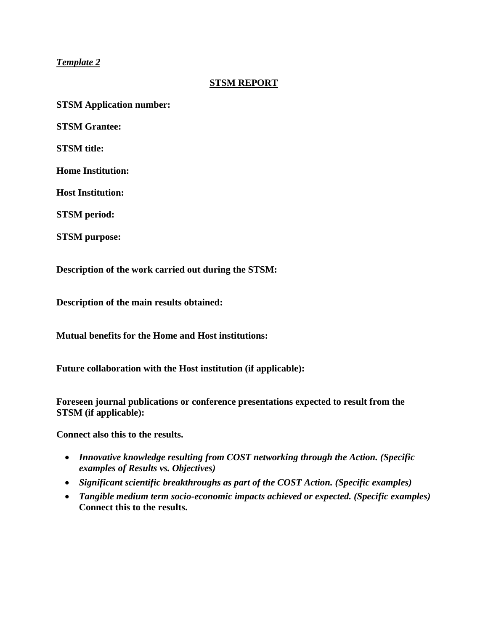## *Template 2*

### **STSM REPORT**

**STSM Application number:**

**STSM Grantee:**

**STSM title:**

**Home Institution:** 

**Host Institution:** 

**STSM period:** 

**STSM purpose:**

**Description of the work carried out during the STSM:**

**Description of the main results obtained:**

**Mutual benefits for the Home and Host institutions:**

**Future collaboration with the Host institution (if applicable):**

**Foreseen journal publications or conference presentations expected to result from the STSM (if applicable):**

**Connect also this to the results.**

- *Innovative knowledge resulting from COST networking through the Action. (Specific examples of Results vs. Objectives)*
- *Significant scientific breakthroughs as part of the COST Action. (Specific examples)*
- *Tangible medium term socio-economic impacts achieved or expected. (Specific examples)* **Connect this to the results.**